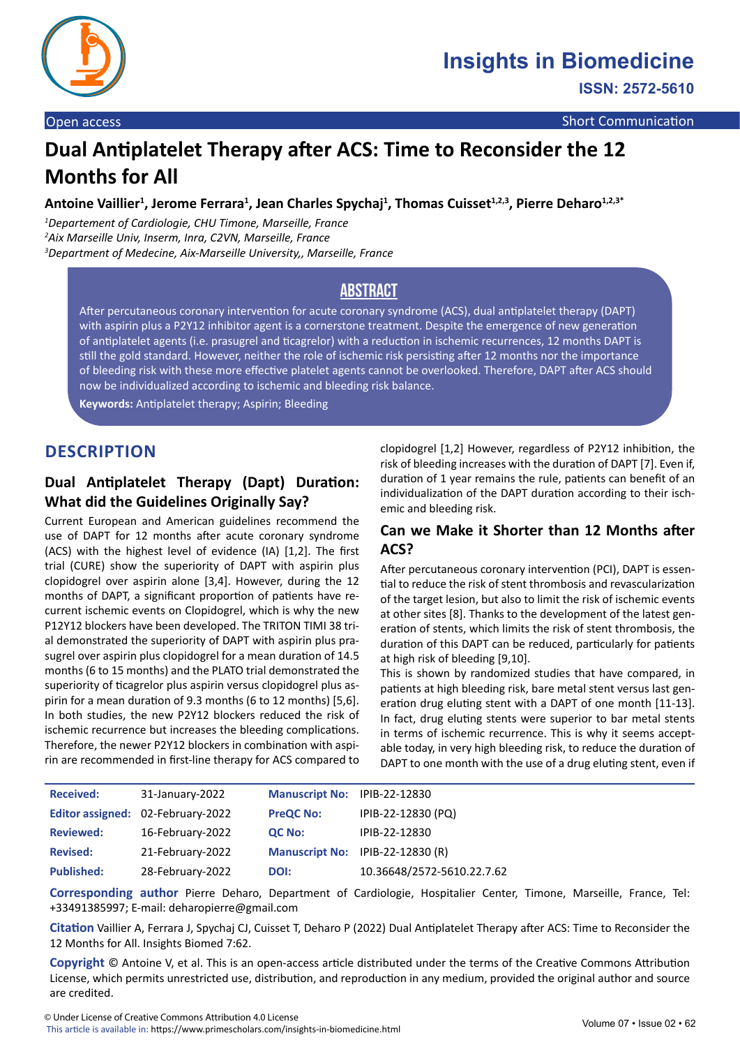

**ISSN: 2572-5610**

# **Dual Antiplatelet Therapy after ACS: Time to Reconsider the 12 Months for All**

Antoine Vaillier<sup>1</sup>, Jerome Ferrara<sup>1</sup>, Jean Charles Spychaj<sup>1</sup>, Thomas Cuisset<sup>1,2,3</sup>, Pierre Deharo<sup>1,2,3\*</sup>

*1 Departement of Cardiologie, CHU Timone, Marseille, France 2 Aix Marseille Univ, Inserm, Inra, C2VN, Marseille, France 3 Department of Medecine, Aix-Marseille University,, Marseille, France*

# **Abstract**

After percutaneous coronary intervention for acute coronary syndrome (ACS), dual antiplatelet therapy (DAPT) with aspirin plus a P2Y12 inhibitor agent is a cornerstone treatment. Despite the emergence of new generation of antiplatelet agents (i.e. prasugrel and ticagrelor) with a reduction in ischemic recurrences, 12 months DAPT is still the gold standard. However, neither the role of ischemic risk persisting after 12 months nor the importance of bleeding risk with these more effective platelet agents cannot be overlooked. Therefore, DAPT after ACS should now be individualized according to ischemic and bleeding risk balance.

**Keywords:** Antiplatelet therapy; Aspirin; Bleeding

# **DESCRIPTION**

# **Dual Antiplatelet Therapy (Dapt) Duration: What did the Guidelines Originally Say?**

Current European and American guidelines recommend the use of DAPT for 12 months after acute coronary syndrome (ACS) with the highest level of evidence (IA) [1,2]. The first trial (CURE) show the superiority of DAPT with aspirin plus clopidogrel over aspirin alone [3,4]. However, during the 12 months of DAPT, a significant proportion of patients have recurrent ischemic events on Clopidogrel, which is why the new P12Y12 blockers have been developed. The TRITON TIMI 38 trial demonstrated the superiority of DAPT with aspirin plus prasugrel over aspirin plus clopidogrel for a mean duration of 14.5 months (6 to 15 months) and the PLATO trial demonstrated the superiority of ticagrelor plus aspirin versus clopidogrel plus aspirin for a mean duration of 9.3 months (6 to 12 months) [5,6]. In both studies, the new P2Y12 blockers reduced the risk of ischemic recurrence but increases the bleeding complications. Therefore, the newer P2Y12 blockers in combination with aspirin are recommended in first-line therapy for ACS compared to

clopidogrel [1,2] However, regardless of P2Y12 inhibition, the risk of bleeding increases with the duration of DAPT [7]. Even if, duration of 1 year remains the rule, patients can benefit of an individualization of the DAPT duration according to their ischemic and bleeding risk.

#### **Can we Make it Shorter than 12 Months after ACS?**

After percutaneous coronary intervention (PCI), DAPT is essential to reduce the risk of stent thrombosis and revascularization of the target lesion, but also to limit the risk of ischemic events at other sites [8]. Thanks to the development of the latest generation of stents, which limits the risk of stent thrombosis, the duration of this DAPT can be reduced, particularly for patients at high risk of bleeding [9,10].

This is shown by randomized studies that have compared, in patients at high bleeding risk, bare metal stent versus last generation drug eluting stent with a DAPT of one month [11-13]. In fact, drug eluting stents were superior to bar metal stents in terms of ischemic recurrence. This is why it seems acceptable today, in very high bleeding risk, to reduce the duration of DAPT to one month with the use of a drug eluting stent, even if

| <b>Received:</b>  | 31-January-2022                   | Manuscript No: IPIB-22-12830 |                                  |
|-------------------|-----------------------------------|------------------------------|----------------------------------|
|                   | Editor assigned: 02-February-2022 | <b>PreQC No:</b>             | IPIB-22-12830 (PQ)               |
| <b>Reviewed:</b>  | 16-February-2022                  | QC No:                       | IPIB-22-12830                    |
| <b>Revised:</b>   | 21-February-2022                  |                              | Manuscript No: IPIB-22-12830 (R) |
| <b>Published:</b> | 28-February-2022                  | DOI:                         | 10.36648/2572-5610.22.7.62       |

**Corresponding author** Pierre Deharo, Department of Cardiologie, Hospitalier Center, Timone, Marseille, France, Tel: +33491385997; E-mail: deharopierre@gmail.com

**Citation** Vaillier A, Ferrara J, Spychaj CJ, Cuisset T, Deharo P (2022) Dual Antiplatelet Therapy after ACS: Time to Reconsider the 12 Months for All. Insights Biomed 7:62.

**Copyright** © Antoine V, et al. This is an open-access article distributed under the terms of the Creative Commons Attribution License, which permits unrestricted use, distribution, and reproduction in any medium, provided the original author and source are credited.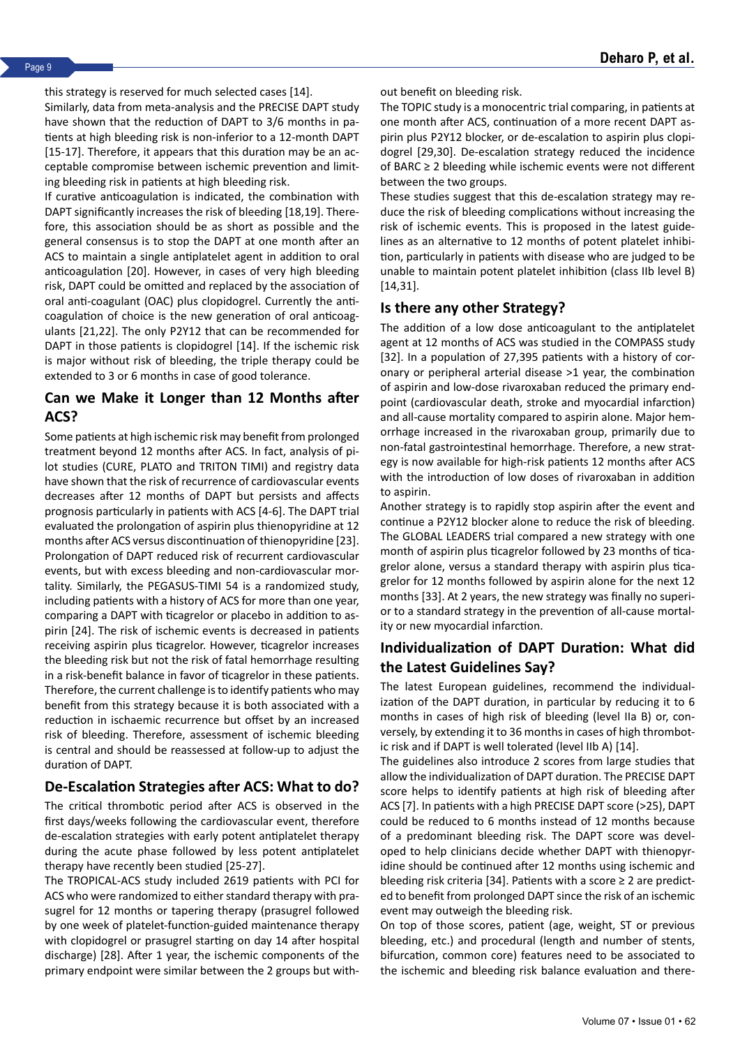this strategy is reserved for much selected cases [14].

Similarly, data from meta-analysis and the PRECISE DAPT study have shown that the reduction of DAPT to 3/6 months in patients at high bleeding risk is non-inferior to a 12-month DAPT [15-17]. Therefore, it appears that this duration may be an acceptable compromise between ischemic prevention and limiting bleeding risk in patients at high bleeding risk.

If curative anticoagulation is indicated, the combination with DAPT significantly increases the risk of bleeding [18,19]. Therefore, this association should be as short as possible and the general consensus is to stop the DAPT at one month after an ACS to maintain a single antiplatelet agent in addition to oral anticoagulation [20]. However, in cases of very high bleeding risk, DAPT could be omitted and replaced by the association of oral anti-coagulant (OAC) plus clopidogrel. Currently the anticoagulation of choice is the new generation of oral anticoagulants [21,22]. The only P2Y12 that can be recommended for DAPT in those patients is clopidogrel [14]. If the ischemic risk is major without risk of bleeding, the triple therapy could be extended to 3 or 6 months in case of good tolerance.

#### **Can we Make it Longer than 12 Months after ACS?**

Some patients at high ischemic risk may benefit from prolonged treatment beyond 12 months after ACS. In fact, analysis of pilot studies (CURE, PLATO and TRITON TIMI) and registry data have shown that the risk of recurrence of cardiovascular events decreases after 12 months of DAPT but persists and affects prognosis particularly in patients with ACS [4-6]. The DAPT trial evaluated the prolongation of aspirin plus thienopyridine at 12 months after ACS versus discontinuation of thienopyridine [23]. Prolongation of DAPT reduced risk of recurrent cardiovascular events, but with excess bleeding and non-cardiovascular mortality. Similarly, the PEGASUS-TIMI 54 is a randomized study, including patients with a history of ACS for more than one year, comparing a DAPT with ticagrelor or placebo in addition to aspirin [24]. The risk of ischemic events is decreased in patients receiving aspirin plus ticagrelor. However, ticagrelor increases the bleeding risk but not the risk of fatal hemorrhage resulting in a risk-benefit balance in favor of ticagrelor in these patients. Therefore, the current challenge is to identify patients who may benefit from this strategy because it is both associated with a reduction in ischaemic recurrence but offset by an increased risk of bleeding. Therefore, assessment of ischemic bleeding is central and should be reassessed at follow-up to adjust the duration of DAPT.

#### **De-Escalation Strategies after ACS: What to do?**

The critical thrombotic period after ACS is observed in the first days/weeks following the cardiovascular event, therefore de-escalation strategies with early potent antiplatelet therapy during the acute phase followed by less potent antiplatelet therapy have recently been studied [25-27].

The TROPICAL-ACS study included 2619 patients with PCI for ACS who were randomized to either standard therapy with prasugrel for 12 months or tapering therapy (prasugrel followed by one week of platelet-function-guided maintenance therapy with clopidogrel or prasugrel starting on day 14 after hospital discharge) [28]. After 1 year, the ischemic components of the primary endpoint were similar between the 2 groups but without benefit on bleeding risk.

The TOPIC study is a monocentric trial comparing, in patients at one month after ACS, continuation of a more recent DAPT aspirin plus P2Y12 blocker, or de-escalation to aspirin plus clopidogrel [29,30]. De-escalation strategy reduced the incidence of BARC ≥ 2 bleeding while ischemic events were not different between the two groups.

These studies suggest that this de-escalation strategy may reduce the risk of bleeding complications without increasing the risk of ischemic events. This is proposed in the latest guidelines as an alternative to 12 months of potent platelet inhibition, particularly in patients with disease who are judged to be unable to maintain potent platelet inhibition (class IIb level B) [14,31].

#### **Is there any other Strategy?**

The addition of a low dose anticoagulant to the antiplatelet agent at 12 months of ACS was studied in the COMPASS study [32]. In a population of 27,395 patients with a history of coronary or peripheral arterial disease >1 year, the combination of aspirin and low-dose rivaroxaban reduced the primary endpoint (cardiovascular death, stroke and myocardial infarction) and all-cause mortality compared to aspirin alone. Major hemorrhage increased in the rivaroxaban group, primarily due to non-fatal gastrointestinal hemorrhage. Therefore, a new strategy is now available for high-risk patients 12 months after ACS with the introduction of low doses of rivaroxaban in addition to aspirin.

Another strategy is to rapidly stop aspirin after the event and continue a P2Y12 blocker alone to reduce the risk of bleeding. The GLOBAL LEADERS trial compared a new strategy with one month of aspirin plus ticagrelor followed by 23 months of ticagrelor alone, versus a standard therapy with aspirin plus ticagrelor for 12 months followed by aspirin alone for the next 12 months [33]. At 2 years, the new strategy was finally no superior to a standard strategy in the prevention of all-cause mortality or new myocardial infarction.

# **Individualization of DAPT Duration: What did the Latest Guidelines Say?**

The latest European guidelines, recommend the individualization of the DAPT duration, in particular by reducing it to 6 months in cases of high risk of bleeding (level IIa B) or, conversely, by extending it to 36 months in cases of high thrombotic risk and if DAPT is well tolerated (level IIb A) [14].

The guidelines also introduce 2 scores from large studies that allow the individualization of DAPT duration. The PRECISE DAPT score helps to identify patients at high risk of bleeding after ACS [7]. In patients with a high PRECISE DAPT score (>25), DAPT could be reduced to 6 months instead of 12 months because of a predominant bleeding risk. The DAPT score was developed to help clinicians decide whether DAPT with thienopyridine should be continued after 12 months using ischemic and bleeding risk criteria [34]. Patients with a score ≥ 2 are predicted to benefit from prolonged DAPT since the risk of an ischemic event may outweigh the bleeding risk.

On top of those scores, patient (age, weight, ST or previous bleeding, etc.) and procedural (length and number of stents, bifurcation, common core) features need to be associated to the ischemic and bleeding risk balance evaluation and there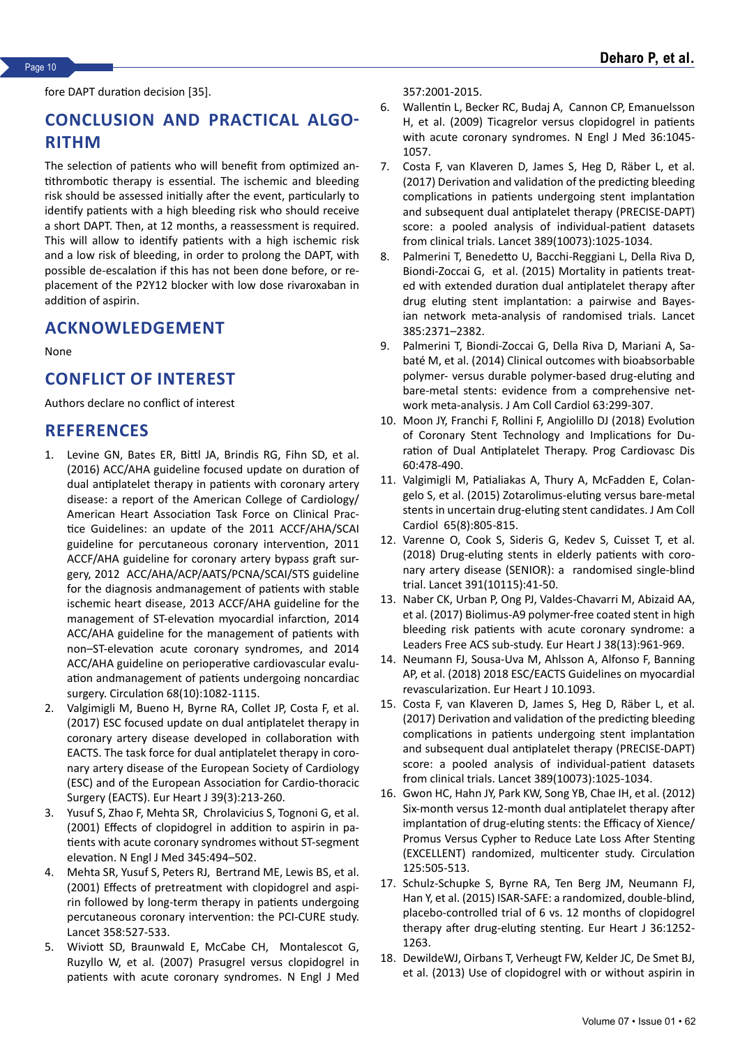fore DAPT duration decision [35].

# **CONCLUSION AND PRACTICAL ALGO-RITHM**

The selection of patients who will benefit from optimized antithrombotic therapy is essential. The ischemic and bleeding risk should be assessed initially after the event, particularly to identify patients with a high bleeding risk who should receive a short DAPT. Then, at 12 months, a reassessment is required. This will allow to identify patients with a high ischemic risk and a low risk of bleeding, in order to prolong the DAPT, with possible de-escalation if this has not been done before, or replacement of the P2Y12 blocker with low dose rivaroxaban in addition of aspirin.

#### **ACKNOWLEDGEMENT**

None

# **CONFLICT OF INTEREST**

Authors declare no conflict of interest

#### **REFERENCES**

- 1. Levine GN, Bates ER, Bittl JA, Brindis RG, Fihn SD, et al. (2016) [ACC/AHA guideline focused update on duration of](https://www.ahajournals.org/doi/10.1161/CIR.0000000000000452) [dual antiplatelet therapy in patients with coronary artery](https://www.ahajournals.org/doi/10.1161/CIR.0000000000000452) [disease: a report of the American College of Cardiology/](https://www.ahajournals.org/doi/10.1161/CIR.0000000000000452) [American Heart Association Task Force on Clinical Prac](https://www.ahajournals.org/doi/10.1161/CIR.0000000000000452)[tice Guidelines: an update of the 2011 ACCF/AHA/SCAI](https://www.ahajournals.org/doi/10.1161/CIR.0000000000000452) [guideline for percutaneous coronary intervention, 2011](https://www.ahajournals.org/doi/10.1161/CIR.0000000000000452) [ACCF/AHA guideline for coronary artery bypass graft sur](https://www.ahajournals.org/doi/10.1161/CIR.0000000000000452)[gery, 2012 ACC/AHA/ACP/AATS/PCNA/SCAI/STS guideline](https://www.ahajournals.org/doi/10.1161/CIR.0000000000000452) [for the diagnosis andmanagement of patients with stable](https://www.ahajournals.org/doi/10.1161/CIR.0000000000000452) [ischemic heart disease, 2013 ACCF/AHA guideline for the](https://www.ahajournals.org/doi/10.1161/CIR.0000000000000452) [management of ST-elevation myocardial infarction, 2014](https://www.ahajournals.org/doi/10.1161/CIR.0000000000000452) [ACC/AHA guideline for the management of patients with](https://www.ahajournals.org/doi/10.1161/CIR.0000000000000452) [non–ST-elevation acute coronary syndromes, and 2014](https://www.ahajournals.org/doi/10.1161/CIR.0000000000000452) [ACC/AHA guideline on perioperative cardiov](https://www.ahajournals.org/doi/10.1161/CIR.0000000000000452)ascular evaluation andmanagement of patients undergoing noncardiac surgery. Circulation 68(10):1082-1115.
- 2. Valgimigli M, Bueno H, Byrne RA, Collet JP, Costa F, et al. (2017) [ESC focused update on dual antiplatelet therapy in](https://academic.oup.com/eurheartj/article/39/3/213/4095043) [coronary artery disease developed in collaboration with](https://academic.oup.com/eurheartj/article/39/3/213/4095043) [EACTS. The task force for dual antiplatelet therapy in coro](https://academic.oup.com/eurheartj/article/39/3/213/4095043)[nary artery disease o](https://academic.oup.com/eurheartj/article/39/3/213/4095043)f the European Society of Cardiology (ESC) and of the European Association for Cardio-thoracic Surgery (EACTS). Eur Heart J 39(3):213-260.
- 3. Yusuf S, Zhao F, Mehta SR, Chrolavicius S, Tognoni G, et al. (2001) [Effects of clopidogrel in addition to aspirin in pa](https://www.nejm.org/doi/full/10.1056/NEJMoa010746)[tients with a](https://www.nejm.org/doi/full/10.1056/NEJMoa010746)cute coronary syndromes without ST-segment elevation. N Engl J Med 345:494–502.
- 4. Mehta SR, Yusuf S, Peters RJ, Bertrand ME, Lewis BS, et al. (2001) [Effects of pretreatment with clopidogrel and aspi](https://www.thelancet.com/journals/lancet/article/PIIS0140-6736(01)05701-4/fulltext)[rin followed](https://www.thelancet.com/journals/lancet/article/PIIS0140-6736(01)05701-4/fulltext) by long-term therapy in patients undergoing percutaneous coronary intervention: the PCI-CURE study. Lancet 358:527-533.
- 5. Wiviott SD, Braunwald E, McCabe CH, Montalescot G, Ruzyllo W, et al. (2007) [Prasugrel versus clopidogrel in](https://www.nejm.org/doi/full/10.1056/NEJMoa0706482) [patients with acute coronary synd](https://www.nejm.org/doi/full/10.1056/NEJMoa0706482)romes. N Engl J Med

357:2001-2015.

- 6. Wallentin L, Becker RC, Budaj A, Cannon CP, Emanuelsson H, et al. (2009) [Ticagrelor versus clopidogrel in patients](https://www.nejm.org/doi/full/10.1056/NEJMoa0904327) [with acute coronary syndromes. N Engl J Med 36:1045-](https://www.nejm.org/doi/full/10.1056/NEJMoa0904327) [1057.](https://www.nejm.org/doi/full/10.1056/NEJMoa0904327)
- 7. Costa F, van Klaveren D, James S, Heg D, Räber L, et al. (2017) [Derivation and validation of the predicting bleeding](https://www.thelancet.com/journals/lancet/article/PIIS0140-6736(17)30397-5/fulltext) [complication](https://www.thelancet.com/journals/lancet/article/PIIS0140-6736(17)30397-5/fulltext)s in patients undergoing stent implantation and subsequent dual antiplatelet therapy (PRECISE-DAPT) score: a pooled analysis of individual-patient datasets from clinical trials. Lancet 389(10073):1025-1034.
- 8. Palmerini T, Benedetto U, Bacchi-Reggiani L, Della Riva D, Biondi-Zoccai G, et al. (2015) [Mortality in patients treat](https://www.thelancet.com/journals/lancet/article/PIIS0140-6736(15)60263-X/fulltext)[ed with extended duration dual antiplatelet therapy after](https://www.thelancet.com/journals/lancet/article/PIIS0140-6736(15)60263-X/fulltext) [drug eluting stent implantation: a](https://www.thelancet.com/journals/lancet/article/PIIS0140-6736(15)60263-X/fulltext) pairwise and Bayesian network meta-analysis of randomised trials. Lancet 385:2371–2382.
- 9. Palmerini T, Biondi-Zoccai G, Della Riva D, Mariani A, Sabaté M, et al. (2014) [Clinical outcomes with bioabsorbable](https://www.sciencedirect.com/science/article/pii/S0735109713057525?via%3Dihub) [polymer- versus durable polymer-based drug-eluting and](https://www.sciencedirect.com/science/article/pii/S0735109713057525?via%3Dihub) [bare-metal stents: evidenc](https://www.sciencedirect.com/science/article/pii/S0735109713057525?via%3Dihub)e from a comprehensive network meta-analysis. J Am Coll Cardiol 63:299-307.
- 10. Moon JY, Franchi F, Rollini F, Angiolillo DJ (2018) [Evolution](https://www.sciencedirect.com/science/article/abs/pii/S0033062017301664?via%3Dihub) [of Coronary Stent Technology and Implications for Du](https://www.sciencedirect.com/science/article/abs/pii/S0033062017301664?via%3Dihub)[ration of Dual Antiplatelet Therapy. Prog Cardiovasc](https://www.sciencedirect.com/science/article/abs/pii/S0033062017301664?via%3Dihub) Dis 60:478-490.
- 11. Valgimigli M, Patialiakas A, Thury A, McFadden E, Colangelo S, et al. (2015) [Zotarolimus-eluting versus bare-metal](https://www.sciencedirect.com/science/article/pii/S0735109714074774?via%3Dihub) [stents in uncertain drug](https://www.sciencedirect.com/science/article/pii/S0735109714074774?via%3Dihub)-eluting stent candidates. J Am Coll Cardiol 65(8):805-815.
- 12. Varenne O, Cook S, Sideris G, Kedev S, Cuisset T, et al. (2018) [Drug-eluting stents in elderly patients with coro](https://www.thelancet.com/journals/lancet/article/PIIS0140-6736(17)32713-7/fulltext)[nary artery](https://www.thelancet.com/journals/lancet/article/PIIS0140-6736(17)32713-7/fulltext) disease (SENIOR): a randomised single-blind trial. Lancet 391(10115):41-50.
- 13. Naber CK, Urban P, Ong PJ, Valdes-Chavarri M, Abizaid AA, et al. (2017) [Biolimus-A9 polymer-free coated stent in high](https://academic.oup.com/eurheartj/article/38/13/961/3056915?login=false) [bleeding risk patients](https://academic.oup.com/eurheartj/article/38/13/961/3056915?login=false) with acute coronary syndrome: a Leaders Free ACS sub-study. Eur Heart J 38(13):961-969.
- 14. Neumann FJ, Sousa-Uva M, Ahlsson A, Alfonso F, Banning AP, et al. (2018) [2018 ESC/EACTS Guidelines on myocardial](https://academic.oup.com/eurheartj/article/40/2/87/5079120?login=false) [revascularization. Eur](https://academic.oup.com/eurheartj/article/40/2/87/5079120?login=false) Heart J 10.1093.
- 15. Costa F, van Klaveren D, James S, Heg D, Räber L, et al. (2017[\) Derivation and validation of the predicting bleeding](https://www.thelancet.com/journals/lancet/article/PIIS0140-6736(17)30397-5/fulltext) [complications in patients undergoing stent implantation](https://www.thelancet.com/journals/lancet/article/PIIS0140-6736(17)30397-5/fulltext) [and subsequen](https://www.thelancet.com/journals/lancet/article/PIIS0140-6736(17)30397-5/fulltext)t dual antiplatelet therapy (PRECISE-DAPT) score: a pooled analysis of individual-patient datasets from clinical trials. Lancet 389(10073):1025-1034.
- 16. Gwon HC, Hahn JY, Park KW, Song YB, Chae IH, et al. (2012) [Six-month versus 12-month dual antiplatelet therapy after](https://www.ahajournals.org/doi/10.1161/CIRCULATIONAHA.111.059022) [implantation of drug-eluting stents: the Efficacy of Xience/](https://www.ahajournals.org/doi/10.1161/CIRCULATIONAHA.111.059022) [Promus Versus Cypher to Reduce Late Loss After Stenting](https://www.ahajournals.org/doi/10.1161/CIRCULATIONAHA.111.059022) [\(EXCELLENT\) randomized, m](https://www.ahajournals.org/doi/10.1161/CIRCULATIONAHA.111.059022)ulticenter study. Circulation 125:505-513.
- 17. Schulz-Schupke S, Byrne RA, Ten Berg JM, Neumann FJ, Han Y, et al. (2015) [ISAR-SAFE: a randomized, double-blind,](https://academic.oup.com/eurheartj/article/36/20/1252/2293230?login=false) [placebo-controlled trial o](https://academic.oup.com/eurheartj/article/36/20/1252/2293230?login=false)f 6 vs. 12 months of clopidogrel therapy after drug-eluting stenting. Eur Heart J 36:1252- 1263.
- 18. DewildeWJ, Oirbans T, Verheugt FW, Kelder JC, De Smet BJ, et al. (2013) [Use of clopidogrel with or witho](https://www.thelancet.com/journals/lancet/article/PIIS0140-6736(12)62177-1/fulltext)ut aspirin in